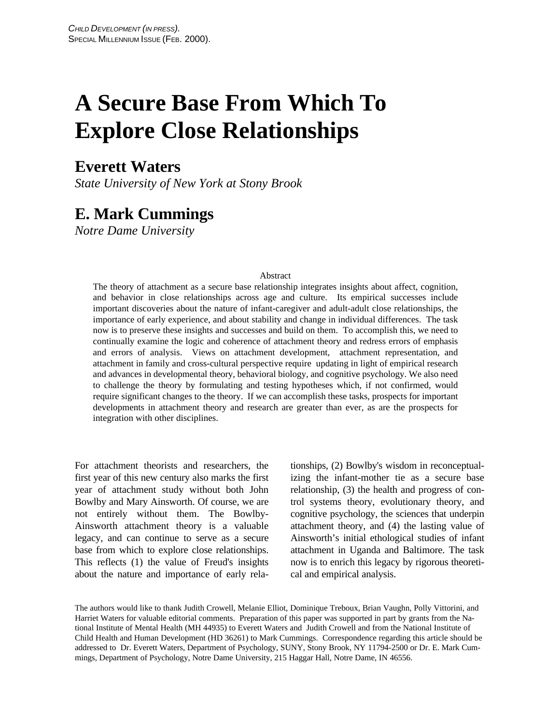# **A Secure Base From Which To Explore Close Relationships**

# **Everett Waters**

*State University of New York at Stony Brook*

# **E. Mark Cummings**

*Notre Dame University*

#### Abstract

The theory of attachment as a secure base relationship integrates insights about affect, cognition, and behavior in close relationships across age and culture. Its empirical successes include important discoveries about the nature of infant-caregiver and adult-adult close relationships, the importance of early experience, and about stability and change in individual differences. The task now is to preserve these insights and successes and build on them. To accomplish this, we need to continually examine the logic and coherence of attachment theory and redress errors of emphasis and errors of analysis. Views on attachment development, attachment representation, and attachment in family and cross-cultural perspective require updating in light of empirical research and advances in developmental theory, behavioral biology, and cognitive psychology. We also need to challenge the theory by formulating and testing hypotheses which, if not confirmed, would require significant changes to the theory. If we can accomplish these tasks, prospects for important developments in attachment theory and research are greater than ever, as are the prospects for integration with other disciplines.

For attachment theorists and researchers, the first year of this new century also marks the first year of attachment study without both John Bowlby and Mary Ainsworth. Of course, we are not entirely without them. The Bowlby-Ainsworth attachment theory is a valuable legacy, and can continue to serve as a secure base from which to explore close relationships. This reflects (1) the value of Freud's insights about the nature and importance of early relationships, (2) Bowlby's wisdom in reconceptualizing the infant-mother tie as a secure base relationship, (3) the health and progress of control systems theory, evolutionary theory, and cognitive psychology, the sciences that underpin attachment theory, and (4) the lasting value of Ainsworth's initial ethological studies of infant attachment in Uganda and Baltimore. The task now is to enrich this legacy by rigorous theoretical and empirical analysis.

The authors would like to thank Judith Crowell, Melanie Elliot, Dominique Treboux, Brian Vaughn, Polly Vittorini, and Harriet Waters for valuable editorial comments. Preparation of this paper was supported in part by grants from the National Institute of Mental Health (MH 44935) to Everett Waters and Judith Crowell and from the National Institute of Child Health and Human Development (HD 36261) to Mark Cummings. Correspondence regarding this article should be addressed to Dr. Everett Waters, Department of Psychology, SUNY, Stony Brook, NY 11794-2500 or Dr. E. Mark Cummings, Department of Psychology, Notre Dame University, 215 Haggar Hall, Notre Dame, IN 46556.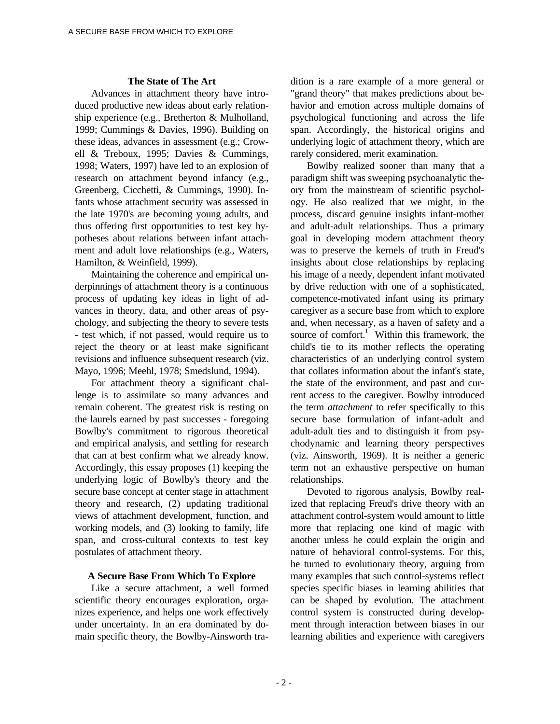#### **The State of The Art**

Advances in attachment theory have introduced productive new ideas about early relationship experience (e.g., Bretherton & Mulholland, 1999; Cummings & Davies, 1996). Building on these ideas, advances in assessment (e.g.; Crowell & Treboux, 1995; Davies & Cummings, 1998; Waters, 1997) have led to an explosion of research on attachment beyond infancy (e.g., Greenberg, Cicchetti, & Cummings, 1990). Infants whose attachment security was assessed in the late 1970's are becoming young adults, and thus offering first opportunities to test key hypotheses about relations between infant attachment and adult love relationships (e.g., Waters, Hamilton, & Weinfield, 1999).

Maintaining the coherence and empirical underpinnings of attachment theory is a continuous process of updating key ideas in light of advances in theory, data, and other areas of psychology, and subjecting the theory to severe tests - test which, if not passed, would require us to reject the theory or at least make significant revisions and influence subsequent research (viz. Mayo, 1996; Meehl, 1978; Smedslund, 1994).

For attachment theory a significant challenge is to assimilate so many advances and remain coherent. The greatest risk is resting on the laurels earned by past successes - foregoing Bowlby's commitment to rigorous theoretical and empirical analysis, and settling for research that can at best confirm what we already know. Accordingly, this essay proposes (1) keeping the underlying logic of Bowlby's theory and the secure base concept at center stage in attachment theory and research, (2) updating traditional views of attachment development, function, and working models, and (3) looking to family, life span, and cross-cultural contexts to test key postulates of attachment theory.

#### **A Secure Base From Which To Explore**

Like a secure attachment, a well formed scientific theory encourages exploration, organizes experience, and helps one work effectively under uncertainty. In an era dominated by domain specific theory, the Bowlby-Ainsworth tra-

dition is a rare example of a more general or "grand theory" that makes predictions about behavior and emotion across multiple domains of psychological functioning and across the life span. Accordingly, the historical origins and underlying logic of attachment theory, which are rarely considered, merit examination.

Bowlby realized sooner than many that a paradigm shift was sweeping psychoanalytic theory from the mainstream of scientific psychology. He also realized that we might, in the process, discard genuine insights infant-mother and adult-adult relationships. Thus a primary goal in developing modern attachment theory was to preserve the kernels of truth in Freud's insights about close relationships by replacing his image of a needy, dependent infant motivated by drive reduction with one of a sophisticated, competence-motivated infant using its primary caregiver as a secure base from which to explore and, when necessary, as a haven of safety and a source of comfort.<sup>1</sup> Within this framework, the child's tie to its mother reflects the operating characteristics of an underlying control system that collates information about the infant's state, the state of the environment, and past and current access to the caregiver. Bowlby introduced the term *attachment* to refer specifically to this secure base formulation of infant-adult and adult-adult ties and to distinguish it from psychodynamic and learning theory perspectives (viz. Ainsworth, 1969). It is neither a generic term not an exhaustive perspective on human relationships.

Devoted to rigorous analysis, Bowlby realized that replacing Freud's drive theory with an attachment control-system would amount to little more that replacing one kind of magic with another unless he could explain the origin and nature of behavioral control-systems. For this, he turned to evolutionary theory, arguing from many examples that such control-systems reflect species specific biases in learning abilities that can be shaped by evolution. The attachment control system is constructed during development through interaction between biases in our learning abilities and experience with caregivers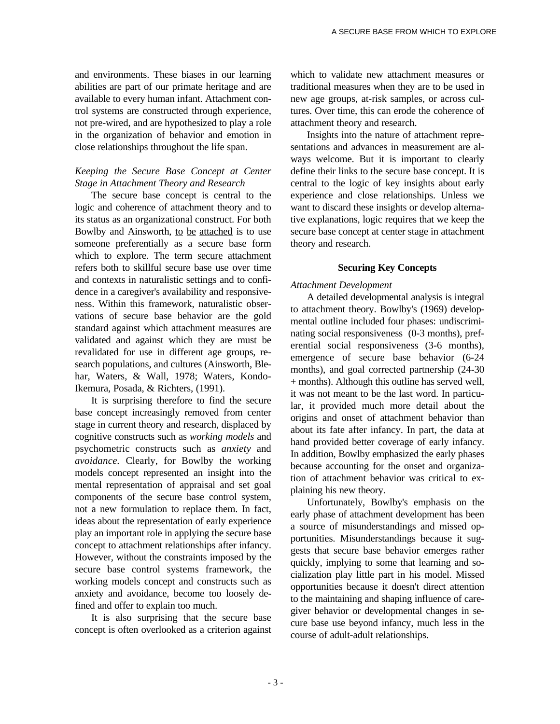and environments. These biases in our learning abilities are part of our primate heritage and are available to every human infant. Attachment control systems are constructed through experience, not pre-wired, and are hypothesized to play a role in the organization of behavior and emotion in close relationships throughout the life span.

# *Keeping the Secure Base Concept at Center Stage in Attachment Theory and Research*

The secure base concept is central to the logic and coherence of attachment theory and to its status as an organizational construct. For both Bowlby and Ainsworth, to be attached is to use someone preferentially as a secure base form which to explore. The term secure attachment refers both to skillful secure base use over time and contexts in naturalistic settings and to confidence in a caregiver's availability and responsiveness. Within this framework, naturalistic observations of secure base behavior are the gold standard against which attachment measures are validated and against which they are must be revalidated for use in different age groups, research populations, and cultures (Ainsworth, Blehar, Waters, & Wall, 1978; Waters, Kondo-Ikemura, Posada, & Richters, (1991).

It is surprising therefore to find the secure base concept increasingly removed from center stage in current theory and research, displaced by cognitive constructs such as *working models* and psychometric constructs such as *anxiety* and *avoidance.* Clearly, for Bowlby the working models concept represented an insight into the mental representation of appraisal and set goal components of the secure base control system, not a new formulation to replace them. In fact, ideas about the representation of early experience play an important role in applying the secure base concept to attachment relationships after infancy. However, without the constraints imposed by the secure base control systems framework, the working models concept and constructs such as anxiety and avoidance, become too loosely defined and offer to explain too much.

It is also surprising that the secure base concept is often overlooked as a criterion against

which to validate new attachment measures or traditional measures when they are to be used in new age groups, at-risk samples, or across cultures. Over time, this can erode the coherence of attachment theory and research.

Insights into the nature of attachment representations and advances in measurement are always welcome. But it is important to clearly define their links to the secure base concept. It is central to the logic of key insights about early experience and close relationships. Unless we want to discard these insights or develop alternative explanations, logic requires that we keep the secure base concept at center stage in attachment theory and research.

### **Securing Key Concepts**

#### *Attachment Development*

A detailed developmental analysis is integral to attachment theory. Bowlby's (1969) developmental outline included four phases: undiscriminating social responsiveness (0-3 months), preferential social responsiveness (3-6 months), emergence of secure base behavior (6-24 months), and goal corrected partnership (24-30 + months). Although this outline has served well, it was not meant to be the last word. In particular, it provided much more detail about the origins and onset of attachment behavior than about its fate after infancy. In part, the data at hand provided better coverage of early infancy. In addition, Bowlby emphasized the early phases because accounting for the onset and organization of attachment behavior was critical to explaining his new theory.

Unfortunately, Bowlby's emphasis on the early phase of attachment development has been a source of misunderstandings and missed opportunities. Misunderstandings because it suggests that secure base behavior emerges rather quickly, implying to some that learning and socialization play little part in his model. Missed opportunities because it doesn't direct attention to the maintaining and shaping influence of caregiver behavior or developmental changes in secure base use beyond infancy, much less in the course of adult-adult relationships.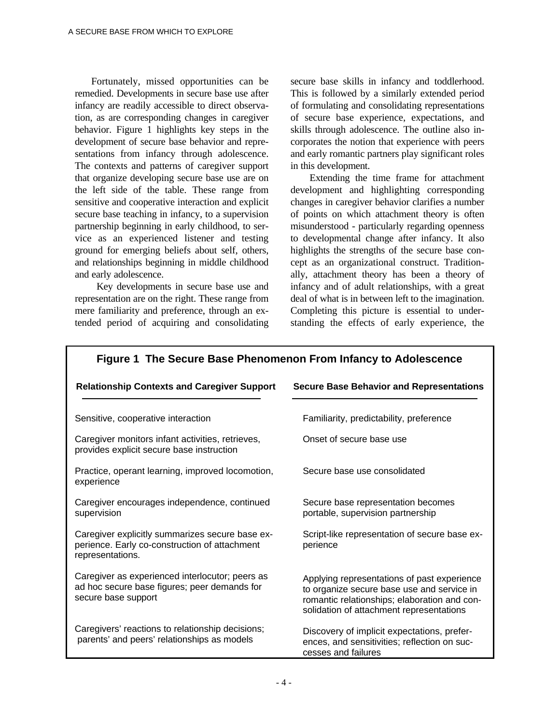Fortunately, missed opportunities can be remedied. Developments in secure base use after infancy are readily accessible to direct observation, as are corresponding changes in caregiver behavior. Figure 1 highlights key steps in the development of secure base behavior and representations from infancy through adolescence. The contexts and patterns of caregiver support that organize developing secure base use are on the left side of the table. These range from sensitive and cooperative interaction and explicit secure base teaching in infancy, to a supervision partnership beginning in early childhood, to service as an experienced listener and testing ground for emerging beliefs about self, others, and relationships beginning in middle childhood and early adolescence.

 Key developments in secure base use and representation are on the right. These range from mere familiarity and preference, through an extended period of acquiring and consolidating

secure base skills in infancy and toddlerhood. This is followed by a similarly extended period of formulating and consolidating representations of secure base experience, expectations, and skills through adolescence. The outline also incorporates the notion that experience with peers and early romantic partners play significant roles in this development.

 Extending the time frame for attachment development and highlighting corresponding changes in caregiver behavior clarifies a number of points on which attachment theory is often misunderstood - particularly regarding openness to developmental change after infancy. It also highlights the strengths of the secure base concept as an organizational construct. Traditionally, attachment theory has been a theory of infancy and of adult relationships, with a great deal of what is in between left to the imagination. Completing this picture is essential to understanding the effects of early experience, the

| <b>Relationship Contexts and Caregiver Support</b>                                                                     | <b>Secure Base Behavior and Representations</b>                                                                                                                                       |
|------------------------------------------------------------------------------------------------------------------------|---------------------------------------------------------------------------------------------------------------------------------------------------------------------------------------|
| Sensitive, cooperative interaction                                                                                     | Familiarity, predictability, preference                                                                                                                                               |
| Caregiver monitors infant activities, retrieves,<br>provides explicit secure base instruction                          | Onset of secure base use                                                                                                                                                              |
| Practice, operant learning, improved locomotion,<br>experience                                                         | Secure base use consolidated                                                                                                                                                          |
| Caregiver encourages independence, continued<br>supervision                                                            | Secure base representation becomes<br>portable, supervision partnership                                                                                                               |
| Caregiver explicitly summarizes secure base ex-<br>perience. Early co-construction of attachment<br>representations.   | Script-like representation of secure base ex-<br>perience                                                                                                                             |
| Caregiver as experienced interlocutor; peers as<br>ad hoc secure base figures; peer demands for<br>secure base support | Applying representations of past experience<br>to organize secure base use and service in<br>romantic relationships; elaboration and con-<br>solidation of attachment representations |
| Caregivers' reactions to relationship decisions;<br>parents' and peers' relationships as models                        | Discovery of implicit expectations, prefer-<br>ences, and sensitivities; reflection on suc-<br>cesses and failures                                                                    |

# **Figure 1 The Secure Base Phenomenon From Infancy to Adolescence**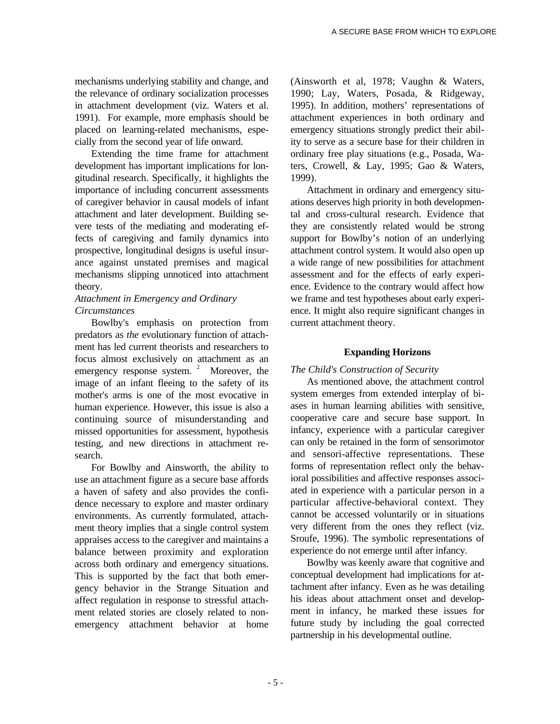mechanisms underlying stability and change, and the relevance of ordinary socialization processes in attachment development (viz. Waters et al. 1991). For example, more emphasis should be placed on learning-related mechanisms, especially from the second year of life onward.

Extending the time frame for attachment development has important implications for longitudinal research. Specifically, it highlights the importance of including concurrent assessments of caregiver behavior in causal models of infant attachment and later development. Building severe tests of the mediating and moderating effects of caregiving and family dynamics into prospective, longitudinal designs is useful insurance against unstated premises and magical mechanisms slipping unnoticed into attachment theory.

## *Attachment in Emergency and Ordinary Circumstances*

Bowlby's emphasis on protection from predators as *the* evolutionary function of attachment has led current theorists and researchers to focus almost exclusively on attachment as an emergency response system.  $2^{\circ}$  Moreover, the image of an infant fleeing to the safety of its mother's arms is one of the most evocative in human experience. However, this issue is also a continuing source of misunderstanding and missed opportunities for assessment, hypothesis testing, and new directions in attachment research.

For Bowlby and Ainsworth, the ability to use an attachment figure as a secure base affords a haven of safety and also provides the confidence necessary to explore and master ordinary environments. As currently formulated, attachment theory implies that a single control system appraises access to the caregiver and maintains a balance between proximity and exploration across both ordinary and emergency situations. This is supported by the fact that both emergency behavior in the Strange Situation and affect regulation in response to stressful attachment related stories are closely related to nonemergency attachment behavior at home

(Ainsworth et al, 1978; Vaughn & Waters, 1990; Lay, Waters, Posada, & Ridgeway, 1995). In addition, mothers' representations of attachment experiences in both ordinary and emergency situations strongly predict their ability to serve as a secure base for their children in ordinary free play situations (e.g., Posada, Waters, Crowell, & Lay, 1995; Gao & Waters, 1999).

Attachment in ordinary and emergency situations deserves high priority in both developmental and cross-cultural research. Evidence that they are consistently related would be strong support for Bowlby's notion of an underlying attachment control system. It would also open up a wide range of new possibilities for attachment assessment and for the effects of early experience. Evidence to the contrary would affect how we frame and test hypotheses about early experience. It might also require significant changes in current attachment theory.

# **Expanding Horizons**

### *The Child's Construction of Security*

As mentioned above, the attachment control system emerges from extended interplay of biases in human learning abilities with sensitive, cooperative care and secure base support. In infancy, experience with a particular caregiver can only be retained in the form of sensorimotor and sensori-affective representations. These forms of representation reflect only the behavioral possibilities and affective responses associated in experience with a particular person in a particular affective-behavioral context. They cannot be accessed voluntarily or in situations very different from the ones they reflect (viz. Sroufe, 1996). The symbolic representations of experience do not emerge until after infancy.

Bowlby was keenly aware that cognitive and conceptual development had implications for attachment after infancy. Even as he was detailing his ideas about attachment onset and development in infancy, he marked these issues for future study by including the goal corrected partnership in his developmental outline.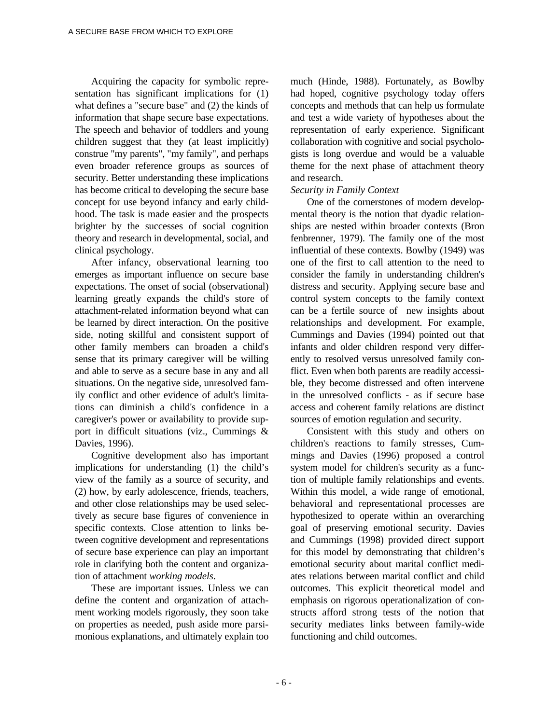Acquiring the capacity for symbolic representation has significant implications for (1) what defines a "secure base" and (2) the kinds of information that shape secure base expectations. The speech and behavior of toddlers and young children suggest that they (at least implicitly) construe "my parents", "my family", and perhaps even broader reference groups as sources of security. Better understanding these implications has become critical to developing the secure base concept for use beyond infancy and early childhood. The task is made easier and the prospects brighter by the successes of social cognition theory and research in developmental, social, and clinical psychology.

After infancy, observational learning too emerges as important influence on secure base expectations. The onset of social (observational) learning greatly expands the child's store of attachment-related information beyond what can be learned by direct interaction. On the positive side, noting skillful and consistent support of other family members can broaden a child's sense that its primary caregiver will be willing and able to serve as a secure base in any and all situations. On the negative side, unresolved family conflict and other evidence of adult's limitations can diminish a child's confidence in a caregiver's power or availability to provide support in difficult situations (viz., Cummings & Davies, 1996).

Cognitive development also has important implications for understanding (1) the child's view of the family as a source of security, and (2) how, by early adolescence, friends, teachers, and other close relationships may be used selectively as secure base figures of convenience in specific contexts. Close attention to links between cognitive development and representations of secure base experience can play an important role in clarifying both the content and organization of attachment *working models*.

These are important issues. Unless we can define the content and organization of attachment working models rigorously, they soon take on properties as needed, push aside more parsimonious explanations, and ultimately explain too much (Hinde, 1988). Fortunately, as Bowlby had hoped, cognitive psychology today offers concepts and methods that can help us formulate and test a wide variety of hypotheses about the representation of early experience. Significant collaboration with cognitive and social psychologists is long overdue and would be a valuable theme for the next phase of attachment theory and research.

### *Security in Family Context*

One of the cornerstones of modern developmental theory is the notion that dyadic relationships are nested within broader contexts (Bron fenbrenner, 1979). The family one of the most influential of these contexts. Bowlby (1949) was one of the first to call attention to the need to consider the family in understanding children's distress and security. Applying secure base and control system concepts to the family context can be a fertile source of new insights about relationships and development. For example, Cummings and Davies (1994) pointed out that infants and older children respond very differently to resolved versus unresolved family conflict. Even when both parents are readily accessible, they become distressed and often intervene in the unresolved conflicts - as if secure base access and coherent family relations are distinct sources of emotion regulation and security.

Consistent with this study and others on children's reactions to family stresses, Cummings and Davies (1996) proposed a control system model for children's security as a function of multiple family relationships and events. Within this model, a wide range of emotional, behavioral and representational processes are hypothesized to operate within an overarching goal of preserving emotional security. Davies and Cummings (1998) provided direct support for this model by demonstrating that children's emotional security about marital conflict mediates relations between marital conflict and child outcomes. This explicit theoretical model and emphasis on rigorous operationalization of constructs afford strong tests of the notion that security mediates links between family-wide functioning and child outcomes.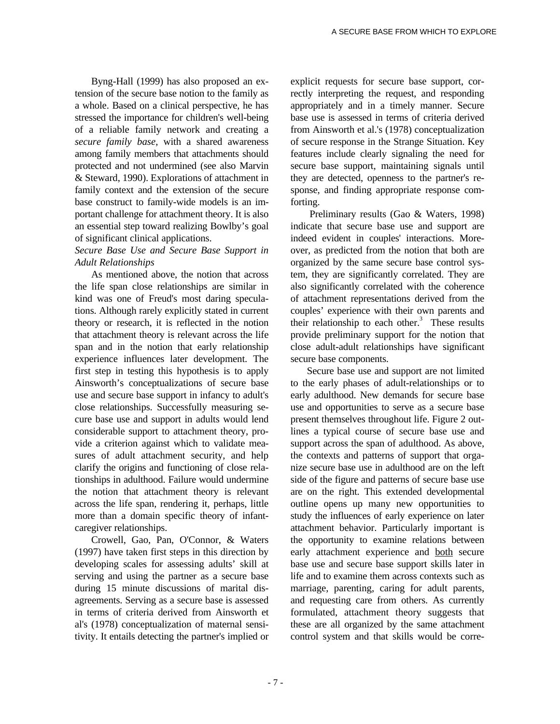Byng-Hall (1999) has also proposed an extension of the secure base notion to the family as a whole. Based on a clinical perspective, he has stressed the importance for children's well-being of a reliable family network and creating a *secure family base*, with a shared awareness among family members that attachments should protected and not undermined (see also Marvin & Steward, 1990). Explorations of attachment in family context and the extension of the secure base construct to family-wide models is an important challenge for attachment theory. It is also an essential step toward realizing Bowlby's goal of significant clinical applications.

## *Secure Base Use and Secure Base Support in Adult Relationships*

As mentioned above, the notion that across the life span close relationships are similar in kind was one of Freud's most daring speculations. Although rarely explicitly stated in current theory or research, it is reflected in the notion that attachment theory is relevant across the life span and in the notion that early relationship experience influences later development. The first step in testing this hypothesis is to apply Ainsworth's conceptualizations of secure base use and secure base support in infancy to adult's close relationships. Successfully measuring secure base use and support in adults would lend considerable support to attachment theory, provide a criterion against which to validate measures of adult attachment security, and help clarify the origins and functioning of close relationships in adulthood. Failure would undermine the notion that attachment theory is relevant across the life span, rendering it, perhaps, little more than a domain specific theory of infantcaregiver relationships.

Crowell, Gao, Pan, O'Connor, & Waters (1997) have taken first steps in this direction by developing scales for assessing adults' skill at serving and using the partner as a secure base during 15 minute discussions of marital disagreements. Serving as a secure base is assessed in terms of criteria derived from Ainsworth et al's (1978) conceptualization of maternal sensitivity. It entails detecting the partner's implied or explicit requests for secure base support, correctly interpreting the request, and responding appropriately and in a timely manner. Secure base use is assessed in terms of criteria derived from Ainsworth et al.'s (1978) conceptualization of secure response in the Strange Situation. Key features include clearly signaling the need for secure base support, maintaining signals until they are detected, openness to the partner's response, and finding appropriate response comforting.

 Preliminary results (Gao & Waters, 1998) indicate that secure base use and support are indeed evident in couples' interactions. Moreover, as predicted from the notion that both are organized by the same secure base control system, they are significantly correlated. They are also significantly correlated with the coherence of attachment representations derived from the couples' experience with their own parents and their relationship to each other.<sup>3</sup> These results provide preliminary support for the notion that close adult-adult relationships have significant secure base components.

Secure base use and support are not limited to the early phases of adult-relationships or to early adulthood. New demands for secure base use and opportunities to serve as a secure base present themselves throughout life. Figure 2 outlines a typical course of secure base use and support across the span of adulthood. As above, the contexts and patterns of support that organize secure base use in adulthood are on the left side of the figure and patterns of secure base use are on the right. This extended developmental outline opens up many new opportunities to study the influences of early experience on later attachment behavior. Particularly important is the opportunity to examine relations between early attachment experience and both secure base use and secure base support skills later in life and to examine them across contexts such as marriage, parenting, caring for adult parents, and requesting care from others. As currently formulated, attachment theory suggests that these are all organized by the same attachment control system and that skills would be corre-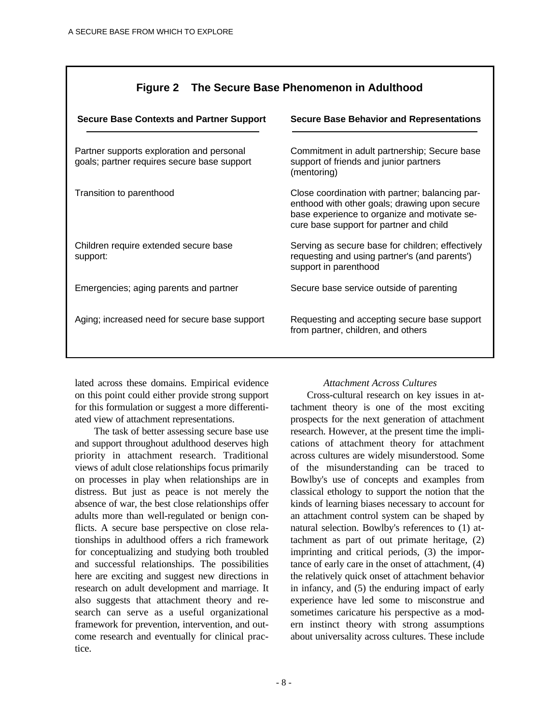# **Figure 2 The Secure Base Phenomenon in Adulthood**

| <b>Secure Base Contexts and Partner Support</b>                                          | <b>Secure Base Behavior and Representations</b>                                                                                                                                             |
|------------------------------------------------------------------------------------------|---------------------------------------------------------------------------------------------------------------------------------------------------------------------------------------------|
| Partner supports exploration and personal<br>goals; partner requires secure base support | Commitment in adult partnership; Secure base<br>support of friends and junior partners<br>(mentoring)                                                                                       |
| Transition to parenthood                                                                 | Close coordination with partner; balancing par-<br>enthood with other goals; drawing upon secure<br>base experience to organize and motivate se-<br>cure base support for partner and child |
| Children require extended secure base<br>support:                                        | Serving as secure base for children; effectively<br>requesting and using partner's (and parents')<br>support in parenthood                                                                  |
| Emergencies; aging parents and partner                                                   | Secure base service outside of parenting                                                                                                                                                    |
| Aging; increased need for secure base support                                            | Requesting and accepting secure base support<br>from partner, children, and others                                                                                                          |

lated across these domains. Empirical evidence on this point could either provide strong support for this formulation or suggest a more differentiated view of attachment representations.

 The task of better assessing secure base use and support throughout adulthood deserves high priority in attachment research. Traditional views of adult close relationships focus primarily on processes in play when relationships are in distress. But just as peace is not merely the absence of war, the best close relationships offer adults more than well-regulated or benign conflicts. A secure base perspective on close relationships in adulthood offers a rich framework for conceptualizing and studying both troubled and successful relationships. The possibilities here are exciting and suggest new directions in research on adult development and marriage. It also suggests that attachment theory and research can serve as a useful organizational framework for prevention, intervention, and outcome research and eventually for clinical practice.

### *Attachment Across Cultures*

Cross-cultural research on key issues in attachment theory is one of the most exciting prospects for the next generation of attachment research. However, at the present time the implications of attachment theory for attachment across cultures are widely misunderstood. Some of the misunderstanding can be traced to Bowlby's use of concepts and examples from classical ethology to support the notion that the kinds of learning biases necessary to account for an attachment control system can be shaped by natural selection. Bowlby's references to (1) attachment as part of out primate heritage, (2) imprinting and critical periods, (3) the importance of early care in the onset of attachment, (4) the relatively quick onset of attachment behavior in infancy, and (5) the enduring impact of early experience have led some to misconstrue and sometimes caricature his perspective as a modern instinct theory with strong assumptions about universality across cultures. These include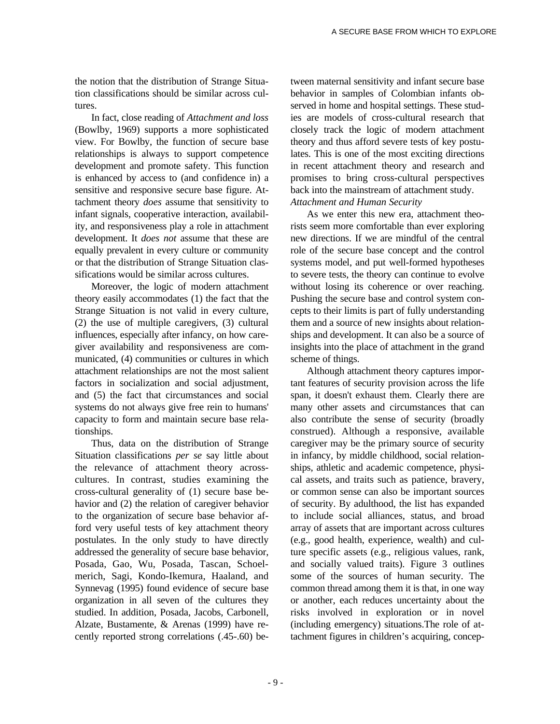the notion that the distribution of Strange Situation classifications should be similar across cultures.

In fact, close reading of *Attachment and loss* (Bowlby, 1969) supports a more sophisticated view. For Bowlby, the function of secure base relationships is always to support competence development and promote safety. This function is enhanced by access to (and confidence in) a sensitive and responsive secure base figure. Attachment theory *does* assume that sensitivity to infant signals, cooperative interaction, availability, and responsiveness play a role in attachment development. It *does not* assume that these are equally prevalent in every culture or community or that the distribution of Strange Situation classifications would be similar across cultures.

Moreover, the logic of modern attachment theory easily accommodates (1) the fact that the Strange Situation is not valid in every culture, (2) the use of multiple caregivers, (3) cultural influences, especially after infancy, on how caregiver availability and responsiveness are communicated, (4) communities or cultures in which attachment relationships are not the most salient factors in socialization and social adjustment, and (5) the fact that circumstances and social systems do not always give free rein to humans' capacity to form and maintain secure base relationships.

Thus, data on the distribution of Strange Situation classifications *per se* say little about the relevance of attachment theory acrosscultures. In contrast, studies examining the cross-cultural generality of (1) secure base behavior and (2) the relation of caregiver behavior to the organization of secure base behavior afford very useful tests of key attachment theory postulates. In the only study to have directly addressed the generality of secure base behavior, Posada, Gao, Wu, Posada, Tascan, Schoelmerich, Sagi, Kondo-Ikemura, Haaland, and Synnevag (1995) found evidence of secure base organization in all seven of the cultures they studied. In addition, Posada, Jacobs, Carbonell, Alzate, Bustamente, & Arenas (1999) have recently reported strong correlations (.45-.60) be-

tween maternal sensitivity and infant secure base behavior in samples of Colombian infants observed in home and hospital settings. These studies are models of cross-cultural research that closely track the logic of modern attachment theory and thus afford severe tests of key postulates. This is one of the most exciting directions in recent attachment theory and research and promises to bring cross-cultural perspectives back into the mainstream of attachment study. *Attachment and Human Security*

As we enter this new era, attachment theorists seem more comfortable than ever exploring new directions. If we are mindful of the central role of the secure base concept and the control systems model, and put well-formed hypotheses to severe tests, the theory can continue to evolve without losing its coherence or over reaching. Pushing the secure base and control system concepts to their limits is part of fully understanding them and a source of new insights about relationships and development. It can also be a source of insights into the place of attachment in the grand scheme of things.

Although attachment theory captures important features of security provision across the life span, it doesn't exhaust them. Clearly there are many other assets and circumstances that can also contribute the sense of security (broadly construed). Although a responsive, available caregiver may be the primary source of security in infancy, by middle childhood, social relationships, athletic and academic competence, physical assets, and traits such as patience, bravery, or common sense can also be important sources of security. By adulthood, the list has expanded to include social alliances, status, and broad array of assets that are important across cultures (e.g., good health, experience, wealth) and culture specific assets (e.g., religious values, rank, and socially valued traits). Figure 3 outlines some of the sources of human security. The common thread among them it is that, in one way or another, each reduces uncertainty about the risks involved in exploration or in novel (including emergency) situations.The role of attachment figures in children's acquiring, concep-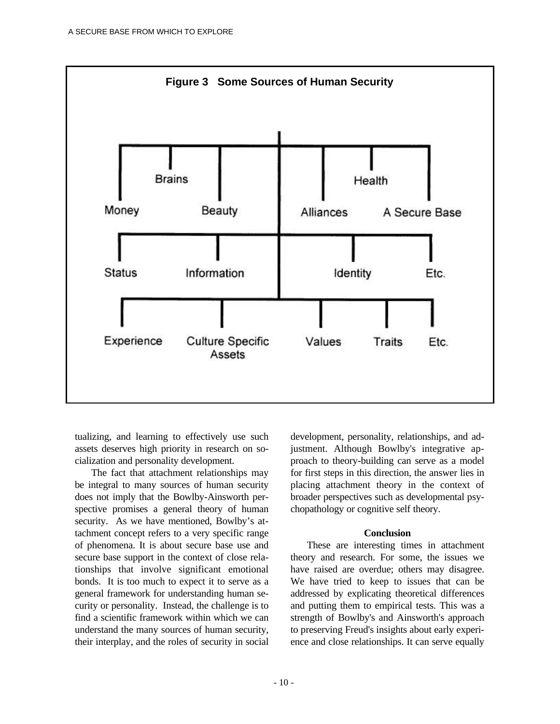

tualizing, and learning to effectively use such assets deserves high priority in research on socialization and personality development.

The fact that attachment relationships may be integral to many sources of human security does not imply that the Bowlby-Ainsworth perspective promises a general theory of human security. As we have mentioned, Bowlby's attachment concept refers to a very specific range of phenomena. It is about secure base use and secure base support in the context of close relationships that involve significant emotional bonds. It is too much to expect it to serve as a general framework for understanding human security or personality. Instead, the challenge is to find a scientific framework within which we can understand the many sources of human security, their interplay, and the roles of security in social

development, personality, relationships, and adjustment. Although Bowlby's integrative approach to theory-building can serve as a model for first steps in this direction, the answer lies in placing attachment theory in the context of broader perspectives such as developmental psychopathology or cognitive self theory.

#### **Conclusion**

These are interesting times in attachment theory and research. For some, the issues we have raised are overdue; others may disagree. We have tried to keep to issues that can be addressed by explicating theoretical differences and putting them to empirical tests. This was a strength of Bowlby's and Ainsworth's approach to preserving Freud's insights about early experience and close relationships. It can serve equally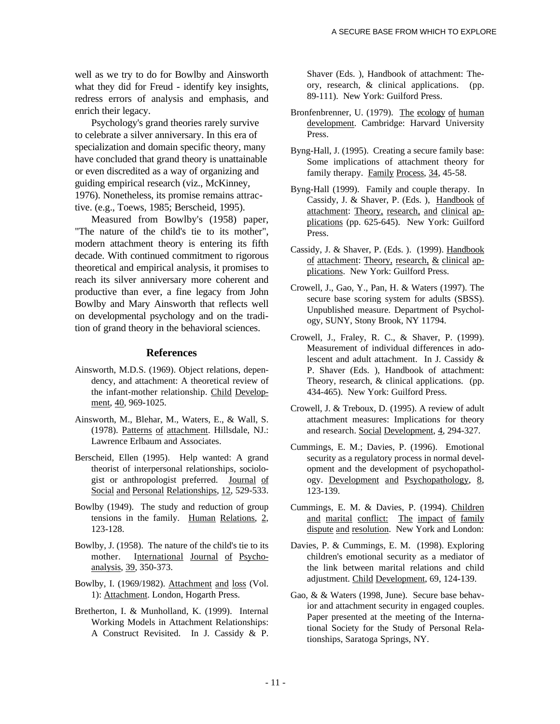well as we try to do for Bowlby and Ainsworth what they did for Freud - identify key insights, redress errors of analysis and emphasis, and enrich their legacy.

Psychology's grand theories rarely survive to celebrate a silver anniversary. In this era of specialization and domain specific theory, many have concluded that grand theory is unattainable or even discredited as a way of organizing and guiding empirical research (viz., McKinney, 1976). Nonetheless, its promise remains attractive. (e.g., Toews, 1985; Berscheid, 1995).

Measured from Bowlby's (1958) paper, "The nature of the child's tie to its mother", modern attachment theory is entering its fifth decade. With continued commitment to rigorous theoretical and empirical analysis, it promises to reach its silver anniversary more coherent and productive than ever, a fine legacy from John Bowlby and Mary Ainsworth that reflects well on developmental psychology and on the tradition of grand theory in the behavioral sciences.

#### **References**

- Ainsworth, M.D.S. (1969). Object relations, dependency, and attachment: A theoretical review of the infant-mother relationship. Child Development, 40, 969-1025.
- Ainsworth, M., Blehar, M., Waters, E., & Wall, S. (1978). Patterns of attachment. Hillsdale, NJ.: Lawrence Erlbaum and Associates.
- Berscheid, Ellen (1995). Help wanted: A grand theorist of interpersonal relationships, sociologist or anthropologist preferred. Journal of Social and Personal Relationships, 12, 529-533.
- Bowlby (1949). The study and reduction of group tensions in the family. Human Relations, 2, 123-128.
- Bowlby, J. (1958). The nature of the child's tie to its mother. International Journal of Psychoanalysis, 39, 350-373.
- Bowlby, I. (1969/1982). Attachment and loss (Vol. 1): Attachment. London, Hogarth Press.
- Bretherton, I. & Munholland, K. (1999). Internal Working Models in Attachment Relationships: A Construct Revisited. In J. Cassidy & P.

Shaver (Eds. ), Handbook of attachment: Theory, research, & clinical applications. (pp. 89-111). New York: Guilford Press.

- Bronfenbrenner, U. (1979). The ecology of human development. Cambridge: Harvard University Press.
- Byng-Hall, J. (1995). Creating a secure family base: Some implications of attachment theory for family therapy. Family Process, 34, 45-58.
- Byng-Hall (1999). Family and couple therapy. In Cassidy, J. & Shaver, P. (Eds. ), Handbook of attachment: Theory, research, and clinical applications (pp. 625-645). New York: Guilford Press.
- Cassidy, J. & Shaver, P. (Eds. ). (1999). Handbook of attachment: Theory, research,  $&$  clinical applications. New York: Guilford Press.
- Crowell, J., Gao, Y., Pan, H. & Waters (1997). The secure base scoring system for adults (SBSS). Unpublished measure. Department of Psychology, SUNY, Stony Brook, NY 11794.
- Crowell, J., Fraley, R. C., & Shaver, P. (1999). Measurement of individual differences in adolescent and adult attachment. In J. Cassidy & P. Shaver (Eds. ), Handbook of attachment: Theory, research, & clinical applications. (pp. 434-465). New York: Guilford Press.
- Crowell, J. & Treboux, D. (1995). A review of adult attachment measures: Implications for theory and research. Social Development, 4, 294-327.
- Cummings, E. M.; Davies, P. (1996). Emotional security as a regulatory process in normal development and the development of psychopathology. Development and Psychopathology, 8, 123-139.
- Cummings, E. M. & Davies, P. (1994). Children and marital conflict: The impact of family dispute and resolution. New York and London:
- Davies, P. & Cummings, E. M. (1998). Exploring children's emotional security as a mediator of the link between marital relations and child adjustment. Child Development, 69, 124-139.
- Gao, & & Waters (1998, June). Secure base behavior and attachment security in engaged couples. Paper presented at the meeting of the International Society for the Study of Personal Relationships, Saratoga Springs, NY.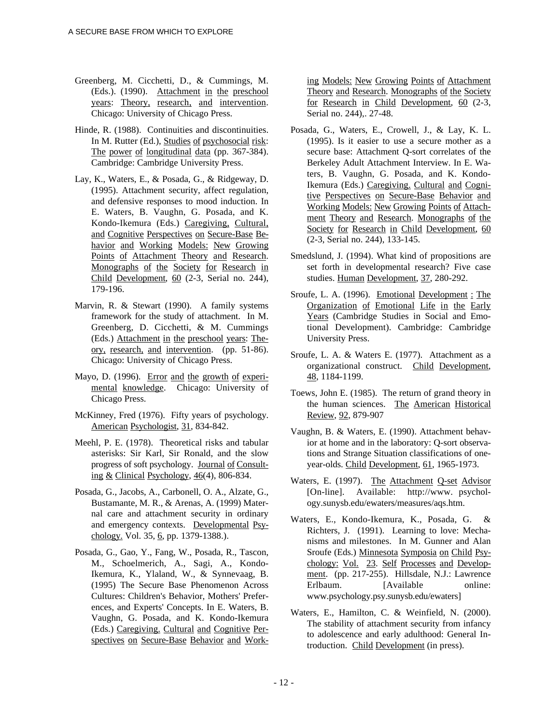- Greenberg, M. Cicchetti, D., & Cummings, M. (Eds.). (1990). Attachment in the preschool years: Theory, research, and intervention. Chicago: University of Chicago Press.
- Hinde, R. (1988). Continuities and discontinuities. In M. Rutter (Ed.), Studies of psychosocial risk: The power of longitudinal data (pp. 367-384). Cambridge: Cambridge University Press.
- Lay, K., Waters, E., & Posada, G., & Ridgeway, D. (1995). Attachment security, affect regulation, and defensive responses to mood induction. In E. Waters, B. Vaughn, G. Posada, and K. Kondo-Ikemura (Eds.) Caregiving, Cultural, and Cognitive Perspectives on Secure-Base Behavior and Working Models: New Growing Points of Attachment Theory and Research. Monographs of the Society for Research in Child Development,  $60$  (2-3, Serial no. 244), 179-196.
- Marvin, R. & Stewart (1990). A family systems framework for the study of attachment. In M. Greenberg, D. Cicchetti, & M. Cummings (Eds.) Attachment in the preschool years: Theory, research, and intervention . (pp. 51-86). Chicago: University of Chicago Press.
- Mayo, D. (1996). Error and the growth of experimental knowledge. Chicago: University of Chicago Press.
- McKinney, Fred (1976). Fifty years of psychology. American Psychologist, 31, 834-842.
- Meehl, P. E. (1978). Theoretical risks and tabular asterisks: Sir Karl, Sir Ronald, and the slow progress of soft psychology. Journal of Consulting  $& Clinical Psychology, 46(4), 806-834.$
- Posada, G., Jacobs, A., Carbonell, O. A., Alzate, G., Bustamante, M. R., & Arenas, A. (1999) Maternal care and attachment security in ordinary and emergency contexts. Developmental Psychology. Vol. 35, 6, pp. 1379-1388.).
- Posada, G., Gao, Y., Fang, W., Posada, R., Tascon, M., Schoelmerich, A., Sagi, A., Kondo-Ikemura, K., Ylaland, W., & Synnevaag, B. (1995) The Secure Base Phenomenon Across Cultures: Children's Behavior, Mothers' Preferences, and Experts' Concepts. In E. Waters, B. Vaughn, G. Posada, and K. Kondo-Ikemura (Eds.) Caregiving. Cultural and Cognitive Perspectives on Secure-Base Behavior and Work-

ing Models: New Growing Points of Attachment Theory and Research. Monographs of the Society for Research in Child Development,  $60$  (2-3, Serial no. 244),. 27-48.

- Posada, G., Waters, E., Crowell, J., & Lay, K. L. (1995). Is it easier to use a secure mother as a secure base: Attachment Q-sort correlates of the Berkeley Adult Attachment Interview. In E. Waters, B. Vaughn, G. Posada, and K. Kondo-Ikemura (Eds.) Caregiving. Cultural and Cognitive Perspectives on Secure-Base Behavior and Working Models: New Growing Points of Attachment Theory and Research. Monographs of the Society for Research in Child Development, 60 (2-3, Serial no. 244), 133-145.
- Smedslund, J. (1994). What kind of propositions are set forth in developmental research? Five case studies. Human Development, 37, 280-292.
- Sroufe, L. A. (1996). Emotional Development : The Organization of Emotional Life in the Early Years (Cambridge Studies in Social and Emotional Development). Cambridge: Cambridge University Press.
- Sroufe, L. A. & Waters E. (1977). Attachment as a organizational construct. Child Development, 48 , 1184-1199.
- Toews, John E. (1985). The return of grand theory in the human sciences. The American Historical Review, 92, 879-907
- Vaughn, B. & Waters, E. (1990). Attachment behavior at home and in the laboratory: Q-sort observations and Strange Situation classifications of oneyear-olds. Child Development, 61, 1965-1973.
- Waters, E. (1997). The Attachment Q-set Advisor [On-line]. Available: http://www. psychology.sunysb.edu/ewaters/measures/aqs.htm.
- Waters, E., Kondo-Ikemura, K., Posada, G. & Richters, J. (1991). Learning to love: Mechanisms and milestones. In M. Gunner and Alan Sroufe (Eds.) Minnesota Symposia on Child Psychology: Vol. 23. Self Processes and Development. (pp. 217-255). Hillsdale, N.J.: Lawrence Erlbaum. [Available online: www.psychology.psy.sunysb.edu/ewaters]
- Waters, E., Hamilton, C. & Weinfield, N. (2000). The stability of attachment security from infancy to adolescence and early adulthood: General Introduction. Child Development (in press).